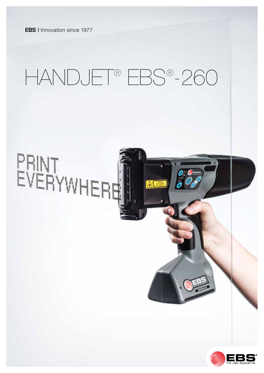**EBS I** Innovation since 1977

# HANDJET® EBS® -260



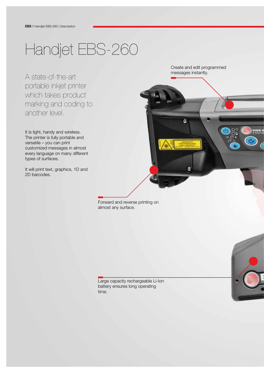## Handjet EBS-260

A state-of-the-art portable inkjet printer which takes product marking and coding to another level.

It is light, handy and wireless. The printer is fully portable and versatile – you can print customized messages in almost every language on many different types of surfaces.

It will print text, graphics, 1D and 2D barcodes.

Create and edit programmed messages instantly.

G

Forward and reverse printing on almost any surface.



Large capacity rechargeable Li-Ion battery ensures long operating time.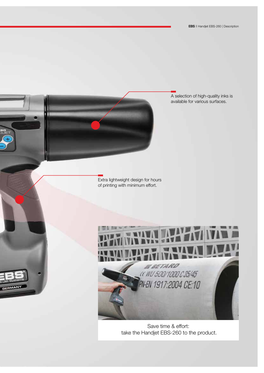A selection of high-quality inks is available for various surfaces.

Extra lightweight design for hours of printing with minimum effort.

GERMANY



Save time & effort: take the Handjet EBS-260 to the product.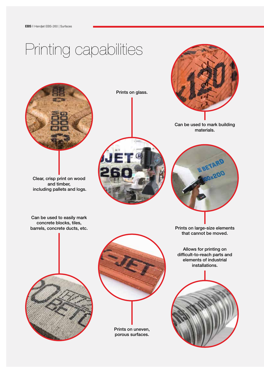## Printing capabilities



Clear, crisp print on wood and timber, including pallets and logs.

Can be used to easily mark concrete blocks, tiles, barrels, concrete ducts, etc.







Can be used to mark building materials.



Prints on large-size elements that cannot be moved.

Allows for printing on difficult-to-reach parts and elements of industrial installations.





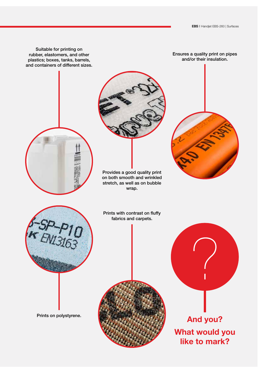Ensures a quality print on pipes and/or their insulation.

Suitable for printing on rubber, elastomers, and other plastics; boxes, tanks, barrels, and containers of different sizes.



What would you like to mark?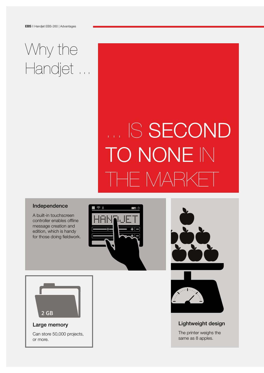## Why the Handjet ...

# ... IS SECOND TO NONE IN THE MARKET

#### Independence

A built-in touchscreen controller enables offline message creation and edition, which is handy for those doing fieldwork.





#### Large memory

Can store 50,000 projects, or more.





#### Lightweight design

The printer weighs the same as 8 apples.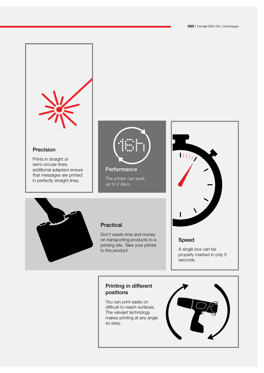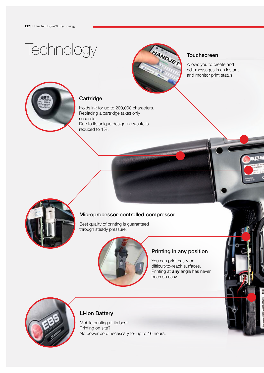## **Technology**



#### **Touchscreen**

Allows you to create and edit messages in an instant and monitor print status.



#### **Cartridge**

Holds ink for up to 200,000 characters. Replacing a cartridge takes only seconds. Due to its unique design ink waste is reduced to 1%.



#### Microprocessor-controlled compressor

Best quality of printing is guaranteed through steady pressure.



#### Printing in any position

You can print easily on difficult-to-reach surfaces. Printing at **any** angle has never been so easy.



#### Li-Ion Battery

Mobile printing at its best! Printing on site? No power cord necessary for up to 16 hours.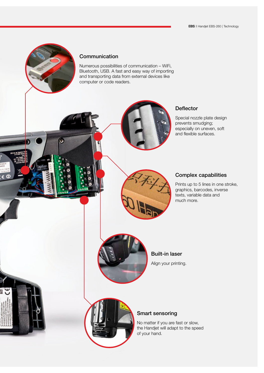

۵

 $\Omega$ 

#### **Communication**

Numerous possibilities of communication – WiFi, Bluetooth, USB. A fast and easy way of importing and transporting data from external devices like computer or code readers.



#### **Deflector**

Special nozzle plate design prevents smudging; especially on uneven, soft and flexible surfaces.

#### Complex capabilities

Prints up to 5 lines in one stroke, graphics, barcodes, inverse texts, variable data and much more.



Built-in laser

Align your printing.



#### Smart sensoring

No matter if you are fast or slow, the Handjet will adapt to the speed of your hand.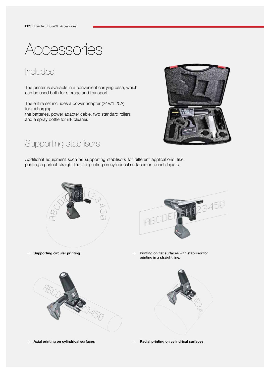Accessories

### Included

The printer is available in a convenient carrying case, which can be used both for storage and transport.

The entire set includes a power adapter (24V/1.25A), for recharging the batteries, power adapter cable, two standard rollers and a spray bottle for ink cleaner.



### Supporting stabilisors

Additional equipment such as supporting stabilisors for different applications, like printing a perfect straight line, for printing on cylindrical surfaces or round objects.



Axial printing on cylindrical surfaces **Radial printing on cylindrical surfaces** Radial printing on cylindrical surfaces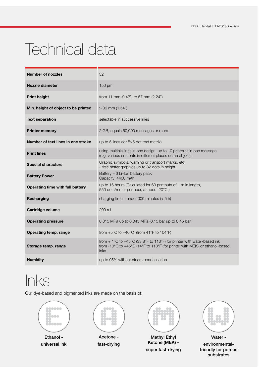## Technical data

| <b>Number of nozzles</b>            | 32                                                                                                                                                           |
|-------------------------------------|--------------------------------------------------------------------------------------------------------------------------------------------------------------|
| Nozzle diameter                     | $150 \mu m$                                                                                                                                                  |
| <b>Print height</b>                 | from 11 mm (0.43") to 57 mm (2.24")                                                                                                                          |
| Min. height of object to be printed | $>$ 39 mm (1.54")                                                                                                                                            |
| <b>Text separation</b>              | selectable in successive lines                                                                                                                               |
| <b>Printer memory</b>               | 2 GB, equals 50,000 messages or more                                                                                                                         |
| Number of text lines in one stroke  | up to 5 lines (for $5\times5$ dot text matrix)                                                                                                               |
| <b>Print lines</b>                  | using multiple lines in one design: up to 10 printouts in one message<br>(e.g. various contents in different places on an object).                           |
| <b>Special characters</b>           | Graphic symbols, warning or transport marks, etc.<br>- free raster graphics up to 32 dots in height.                                                         |
| <b>Battery Power</b>                | Battery - 6 Li-Ion battery pack<br>Capacity: 4400 mAh                                                                                                        |
| Operating time with full battery    | up to 16 hours (Calculated for 60 printouts of 1 m in length,<br>550 dots/meter per hour, at about 20°C.)                                                    |
| Recharging                          | charging time – under 300 minutes $(< 5 h)$                                                                                                                  |
| <b>Cartridge volume</b>             | 200 ml                                                                                                                                                       |
| <b>Operating pressure</b>           | 0.015 MPa up to 0.045 MPa (0.15 bar up to 0.45 bar)                                                                                                          |
| Operating temp. range               | from $+5^{\circ}$ C to $+40^{\circ}$ C (from 41°F to 104°F)                                                                                                  |
| Storage temp. range                 | from + 1°C to +45°C (33.8°F to 113°F) for printer with water-based ink<br>from -10°C to +45°C (14°F to 113°F) for printer with MEK- or ethanol-based<br>inks |
| <b>Humidity</b>                     | up to 95% without steam condensation                                                                                                                         |

### Inks

Our dye-based and pigmented inks are made on the basis of:



Ketone (MEK) super fast-drying



Water environmentalfriendly for porous substrates